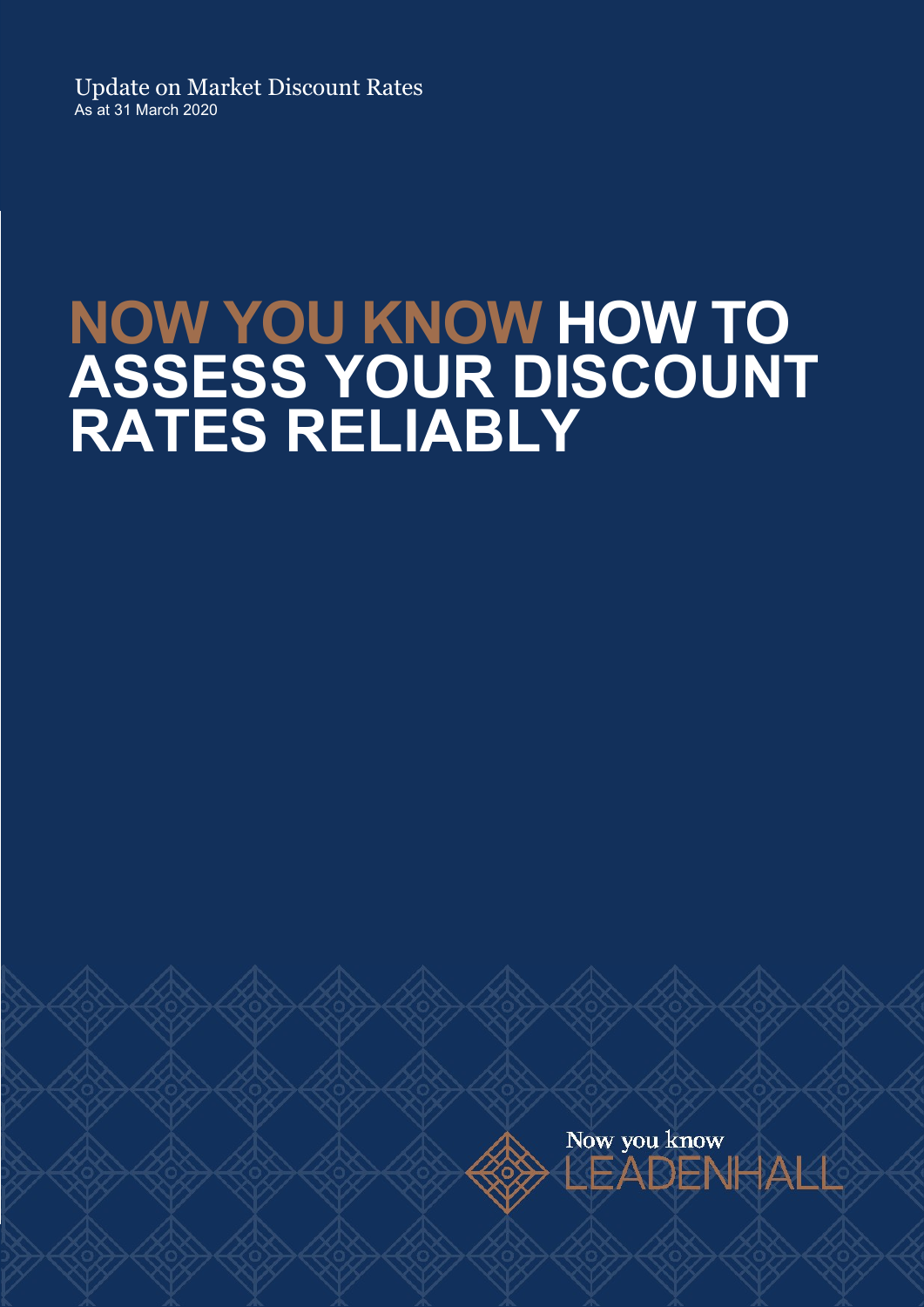Update on Market Discount Rates As at 31 March 2020

## NOW YOU KNOW HOW TO ASSESS YOUR DISCOUNT RATES RELIABLY

Now you know EADENHAKK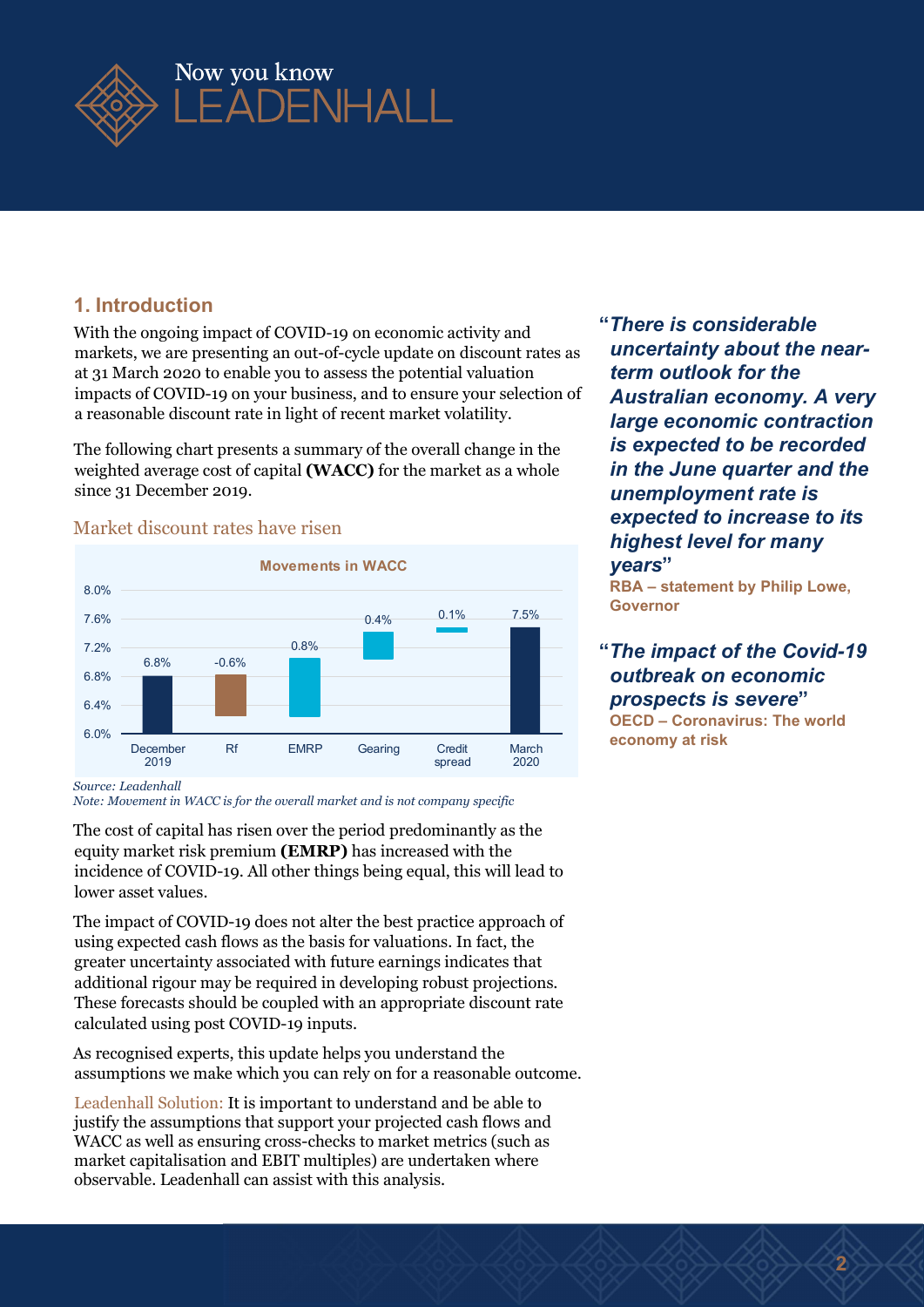

#### 1. Introduction

With the ongoing impact of COVID-19 on economic activity and markets, we are presenting an out-of-cycle update on discount rates as at 31 March 2020 to enable you to assess the potential valuation impacts of COVID-19 on your business, and to ensure your selection of a reasonable discount rate in light of recent market volatility.

The following chart presents a summary of the overall change in the weighted average cost of capital (WACC) for the market as a whole since 31 December 2019.

#### Market discount rates have risen



"There is considerable uncertainty about the nearterm outlook for the Australian economy. A very large economic contraction is expected to be recorded in the June quarter and the unemployment rate is expected to increase to its highest level for many years" a economic activity and<br>
<sup>4</sup> There is considerable<br>
the potential valuation<br>
the potential valuation<br>
the potential valuation<br>
and to ensure your selection of **Australian economy.** A very<br>
ent market volatility.<br> **6.1%** ar

RBA – statement by Philip Lowe, Governor

#### outbreak on economic prospects is severe" OECD – Coronavirus: The world

2

economy at risk

Source: Leadenhall

Note: Movement in WACC is for the overall market and is not company specific

The cost of capital has risen over the period predominantly as the equity market risk premium (EMRP) has increased with the incidence of COVID-19. All other things being equal, this will lead to lower asset values.

The impact of COVID-19 does not alter the best practice approach of using expected cash flows as the basis for valuations. In fact, the greater uncertainty associated with future earnings indicates that additional rigour may be required in developing robust projections. These forecasts should be coupled with an appropriate discount rate calculated using post COVID-19 inputs.

As recognised experts, this update helps you understand the assumptions we make which you can rely on for a reasonable outcome.

Leadenhall Solution: It is important to understand and be able to justify the assumptions that support your projected cash flows and WACC as well as ensuring cross-checks to market metrics (such as market capitalisation and EBIT multiples) are undertaken where observable. Leadenhall can assist with this analysis.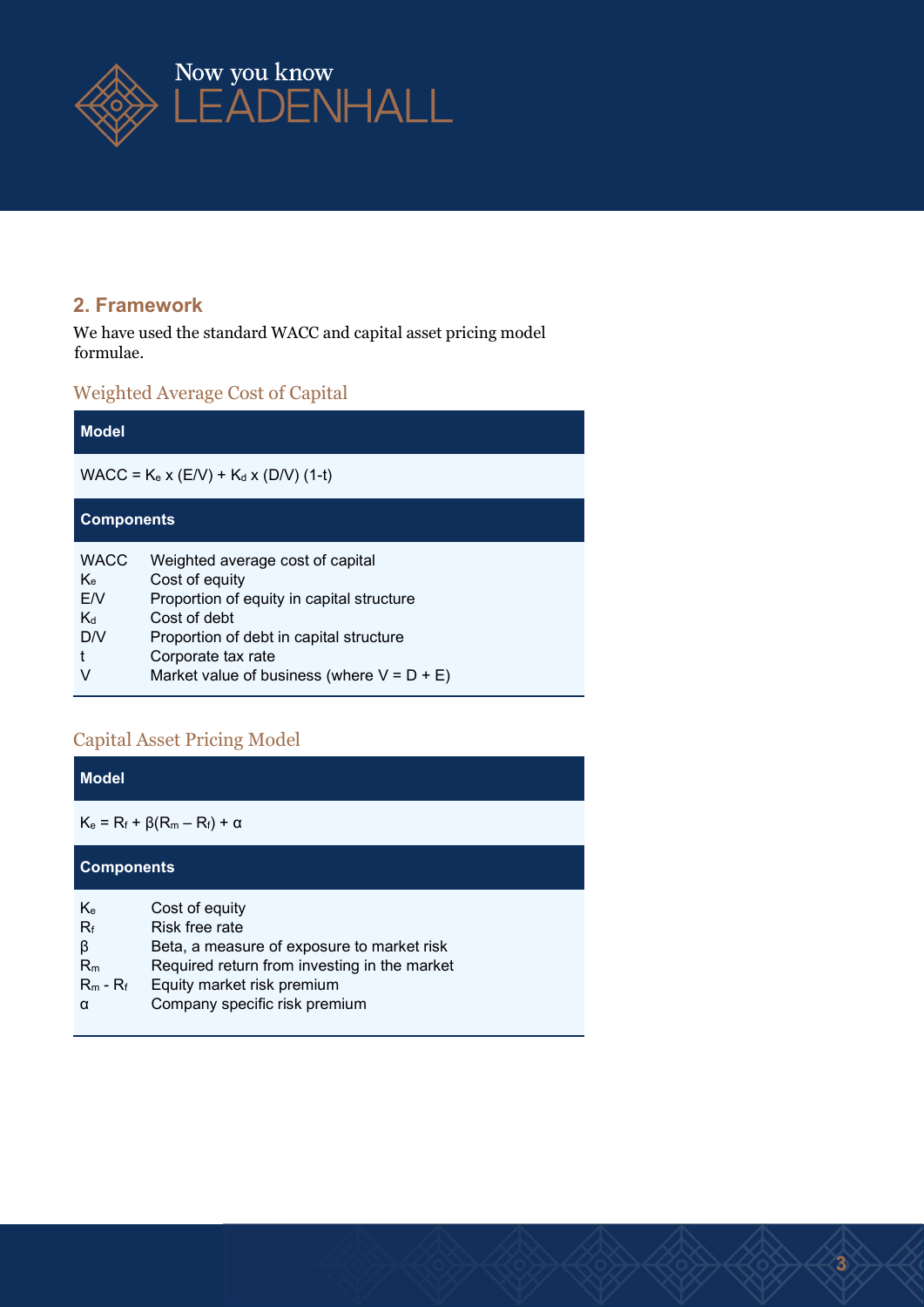

#### 2. Framework

We have used the standard WACC and capital asset pricing model formulae.

#### Weighted Average Cost of Capital

| <b>Model</b>                                   |                                                                                                                                                                                                                                   |  |  |  |
|------------------------------------------------|-----------------------------------------------------------------------------------------------------------------------------------------------------------------------------------------------------------------------------------|--|--|--|
| $WACC = K_e x (E/V) + K_d x (D/V) (1-t)$       |                                                                                                                                                                                                                                   |  |  |  |
| <b>Components</b>                              |                                                                                                                                                                                                                                   |  |  |  |
| <b>WACC</b><br>Ke.<br>E/V<br>$K_d$<br>D/V<br>V | Weighted average cost of capital<br>Cost of equity<br>Proportion of equity in capital structure<br>Cost of debt<br>Proportion of debt in capital structure<br>Corporate tax rate<br>Market value of business (where $V = D + E$ ) |  |  |  |

#### Capital Asset Pricing Model

| <b>Model</b>                                              |                                                                                                                                                                                               |  |  |  |  |
|-----------------------------------------------------------|-----------------------------------------------------------------------------------------------------------------------------------------------------------------------------------------------|--|--|--|--|
| $K_e = R_f + \beta(R_m - R_f) + α$                        |                                                                                                                                                                                               |  |  |  |  |
| <b>Components</b>                                         |                                                                                                                                                                                               |  |  |  |  |
| K <sub>e</sub><br>$R_f$<br>β<br>$R_m$<br>$R_m - R_f$<br>α | Cost of equity<br>Risk free rate<br>Beta, a measure of exposure to market risk<br>Required return from investing in the market<br>Equity market risk premium<br>Company specific risk premium |  |  |  |  |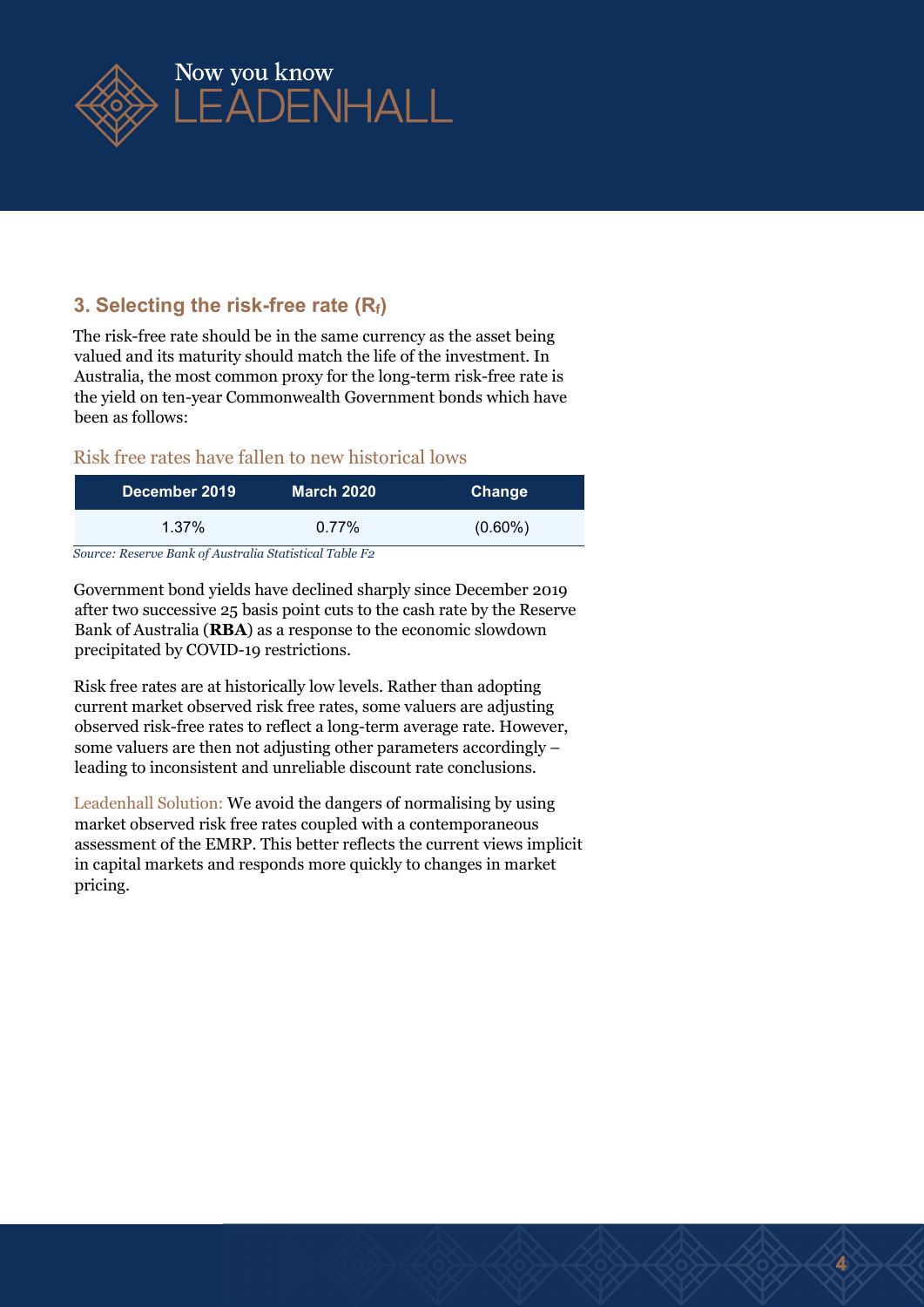

#### 3. Selecting the risk-free rate  $(R_f)$

The risk-free rate should be in the same currency as the asset being valued and its maturity should match the life of the investment. In Australia, the most common proxy for the long-term risk-free rate is the yield on ten-year Commonwealth Government bonds which have been as follows:

#### Risk free rates have fallen to new historical lows

| December 2019                                          | <b>March 2020</b> | Change     |  |  |  |
|--------------------------------------------------------|-------------------|------------|--|--|--|
| 1.37%                                                  | $0.77\%$          | $(0.60\%)$ |  |  |  |
| Source: Reserve Rank of Australia Statistical Table Fo |                   |            |  |  |  |

Source: Reserve Bank of Australia Statistical Table F2

Government bond yields have declined sharply since December 2019 after two successive 25 basis point cuts to the cash rate by the Reserve Bank of Australia (RBA) as a response to the economic slowdown precipitated by COVID-19 restrictions.

Risk free rates are at historically low levels. Rather than adopting current market observed risk free rates, some valuers are adjusting observed risk-free rates to reflect a long-term average rate. However, some valuers are then not adjusting other parameters accordingly – leading to inconsistent and unreliable discount rate conclusions.

Leadenhall Solution: We avoid the dangers of normalising by using market observed risk free rates coupled with a contemporaneous assessment of the EMRP. This better reflects the current views implicit in capital markets and responds more quickly to changes in market pricing.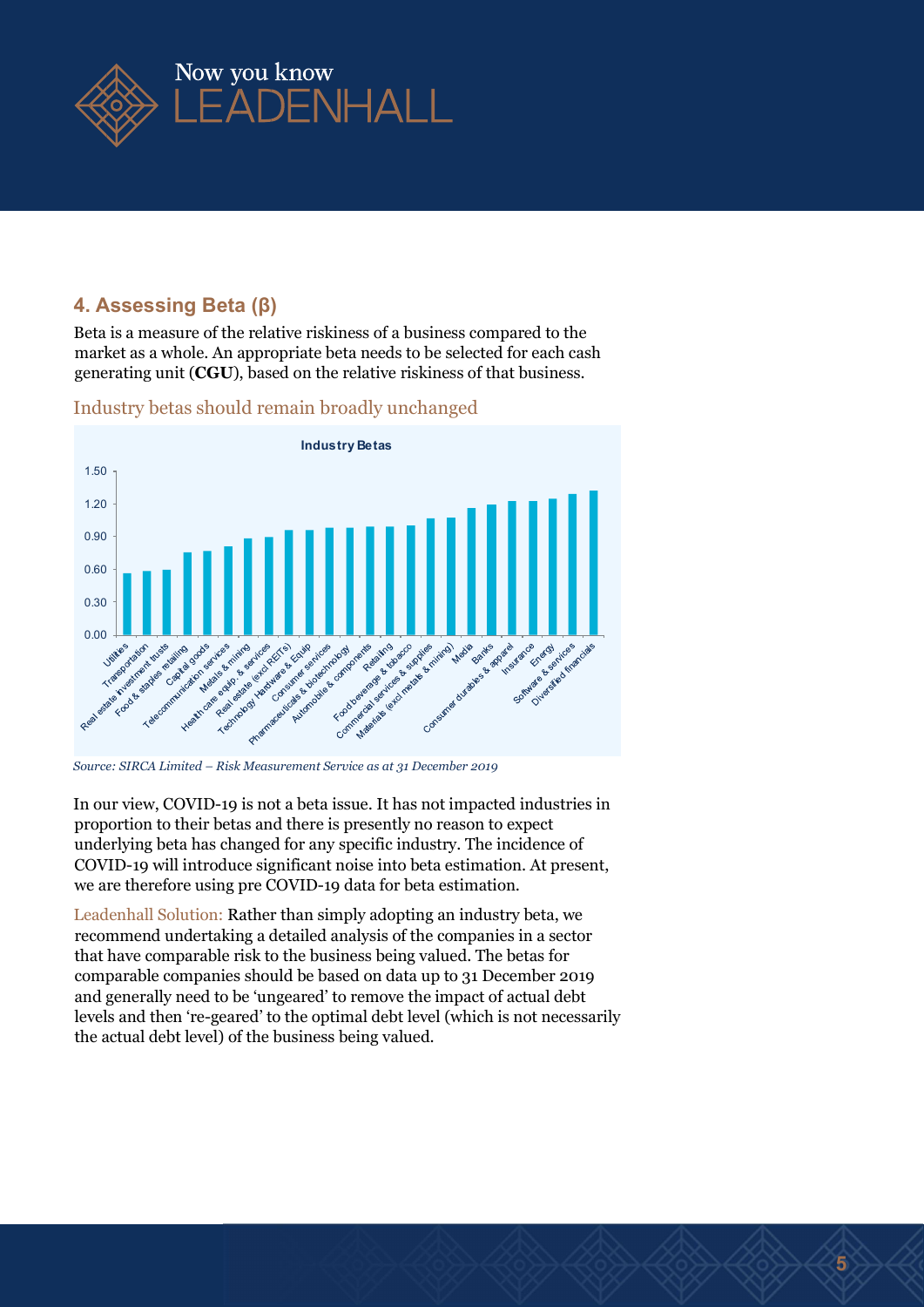

#### 4. Assessing Beta (β)

Beta is a measure of the relative riskiness of a business compared to the market as a whole. An appropriate beta needs to be selected for each cash generating unit (CGU), based on the relative riskiness of that business.



Industry betas should remain broadly unchanged

In our view, COVID-19 is not a beta issue. It has not impacted industries in proportion to their betas and there is presently no reason to expect underlying beta has changed for any specific industry. The incidence of COVID-19 will introduce significant noise into beta estimation. At present, we are therefore using pre COVID-19 data for beta estimation.

Leadenhall Solution: Rather than simply adopting an industry beta, we recommend undertaking a detailed analysis of the companies in a sector that have comparable risk to the business being valued. The betas for comparable companies should be based on data up to 31 December 2019 and generally need to be 'ungeared' to remove the impact of actual debt levels and then 're-geared' to the optimal debt level (which is not necessarily the actual debt level) of the business being valued.

Source: SIRCA Limited – Risk Measurement Service as at 31 December 2019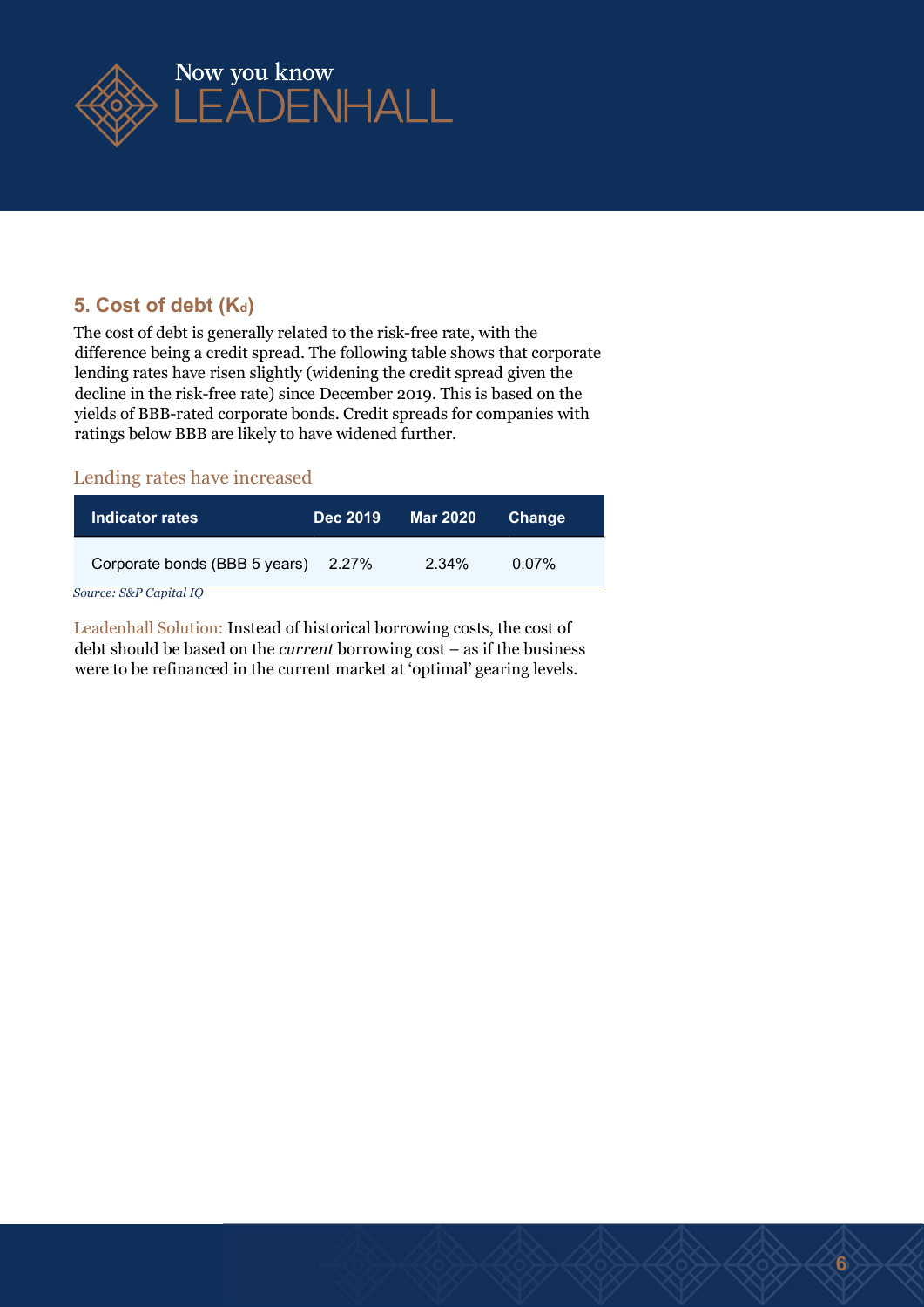

#### 5. Cost of debt (Kd)

The cost of debt is generally related to the risk-free rate, with the difference being a credit spread. The following table shows that corporate lending rates have risen slightly (widening the credit spread given the decline in the risk-free rate) since December 2019. This is based on the yields of BBB-rated corporate bonds. Credit spreads for companies with ratings below BBB are likely to have widened further.

#### Lending rates have increased

| Indicator rates               | Dec 2019 | Mar 2020 | <b>Change</b> |  |
|-------------------------------|----------|----------|---------------|--|
| Corporate bonds (BBB 5 years) | 2.27%    | 2.34%    | $0.07\%$      |  |

Source: S&P Capital IQ

Leadenhall Solution: Instead of historical borrowing costs, the cost of debt should be based on the current borrowing cost – as if the business were to be refinanced in the current market at 'optimal' gearing levels.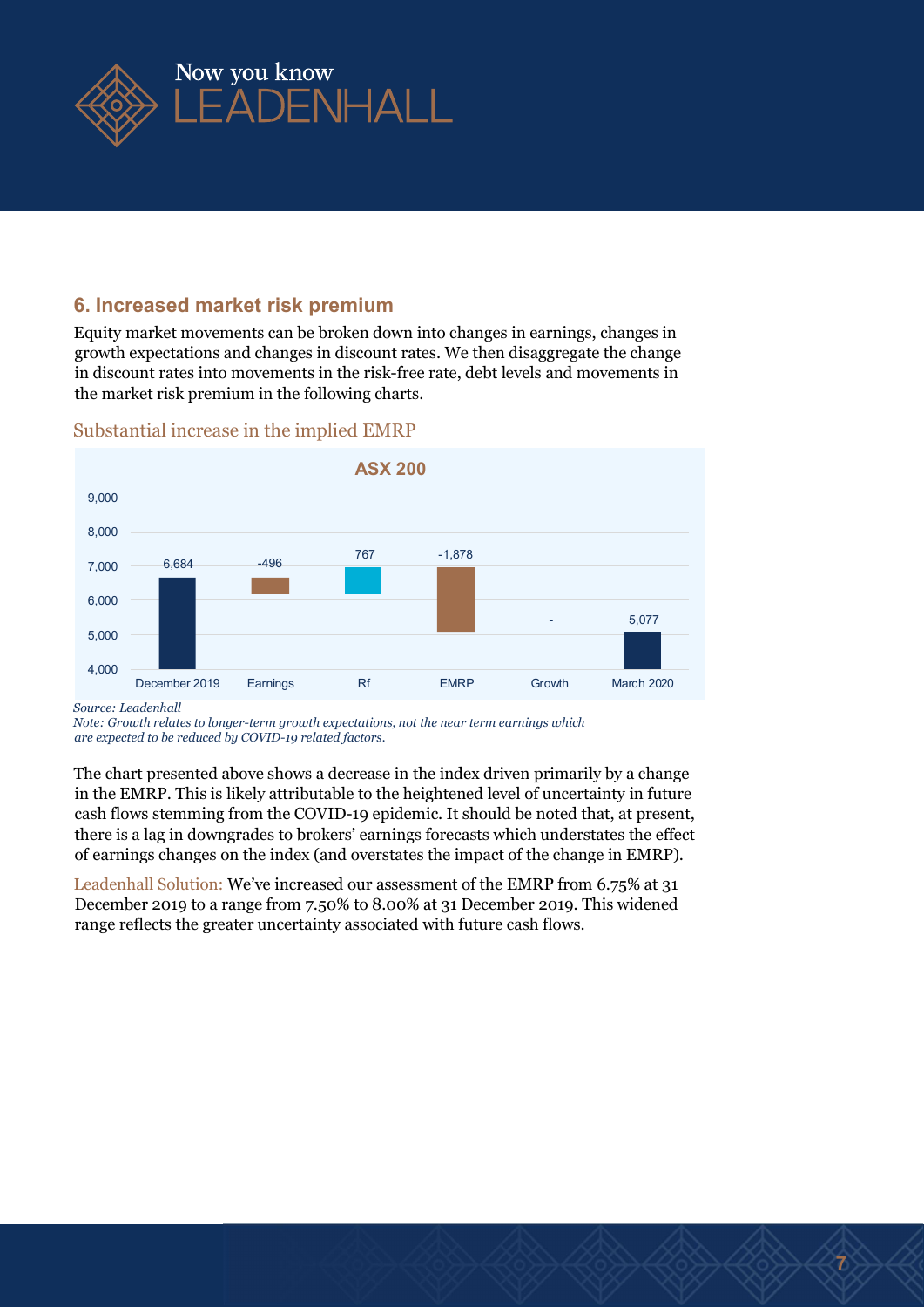

#### 6. Increased market risk premium

Equity market movements can be broken down into changes in earnings, changes in growth expectations and changes in discount rates. We then disaggregate the change in discount rates into movements in the risk-free rate, debt levels and movements in the market risk premium in the following charts.



#### Substantial increase in the implied EMRP

Source: Leadenhall

Note: Growth relates to longer-term growth expectations, not the near term earnings which are expected to be reduced by COVID-19 related factors.

The chart presented above shows a decrease in the index driven primarily by a change in the EMRP. This is likely attributable to the heightened level of uncertainty in future cash flows stemming from the COVID-19 epidemic. It should be noted that, at present, there is a lag in downgrades to brokers' earnings forecasts which understates the effect of earnings changes on the index (and overstates the impact of the change in EMRP).

Leadenhall Solution: We've increased our assessment of the EMRP from 6.75% at 31 December 2019 to a range from 7.50% to 8.00% at 31 December 2019. This widened range reflects the greater uncertainty associated with future cash flows.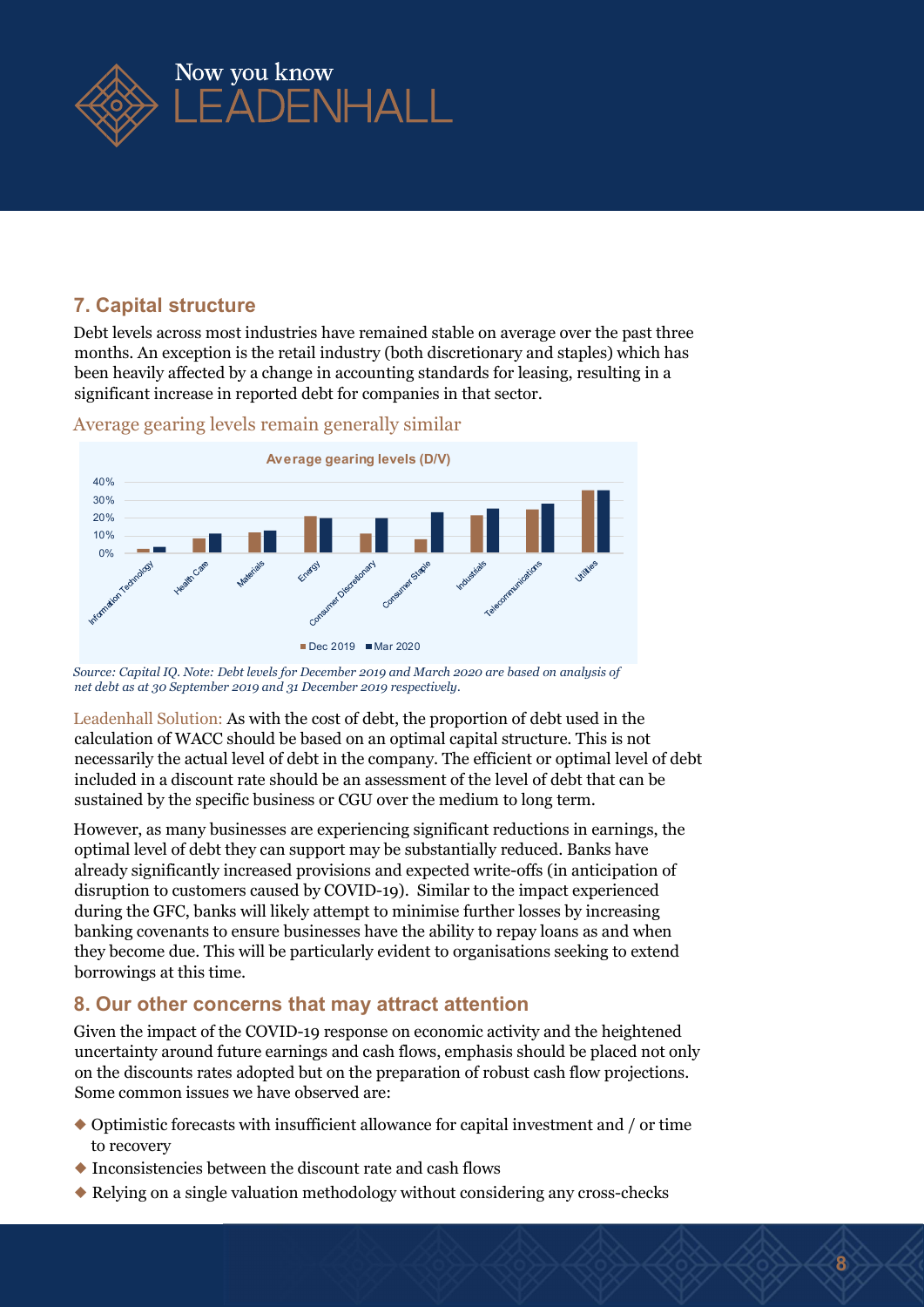

#### 7. Capital structure

Debt levels across most industries have remained stable on average over the past three months. An exception is the retail industry (both discretionary and staples) which has been heavily affected by a change in accounting standards for leasing, resulting in a significant increase in reported debt for companies in that sector.



Average gearing levels remain generally similar

Leadenhall Solution: As with the cost of debt, the proportion of debt used in the calculation of WACC should be based on an optimal capital structure. This is not necessarily the actual level of debt in the company. The efficient or optimal level of debt included in a discount rate should be an assessment of the level of debt that can be sustained by the specific business or CGU over the medium to long term.

However, as many businesses are experiencing significant reductions in earnings, the optimal level of debt they can support may be substantially reduced. Banks have already significantly increased provisions and expected write-offs (in anticipation of disruption to customers caused by COVID-19). Similar to the impact experienced during the GFC, banks will likely attempt to minimise further losses by increasing banking covenants to ensure businesses have the ability to repay loans as and when they become due. This will be particularly evident to organisations seeking to extend borrowings at this time.

#### 8. Our other concerns that may attract attention

Given the impact of the COVID-19 response on economic activity and the heightened uncertainty around future earnings and cash flows, emphasis should be placed not only on the discounts rates adopted but on the preparation of robust cash flow projections. Some common issues we have observed are:

- ◆ Optimistic forecasts with insufficient allowance for capital investment and / or time to recovery
- ◆ Inconsistencies between the discount rate and cash flows
- ◆ Relying on a single valuation methodology without considering any cross-checks

 Source: Capital IQ. Note: Debt levels for December 2019 and March 2020 are based on analysis of net debt as at 30 September 2019 and 31 December 2019 respectively.